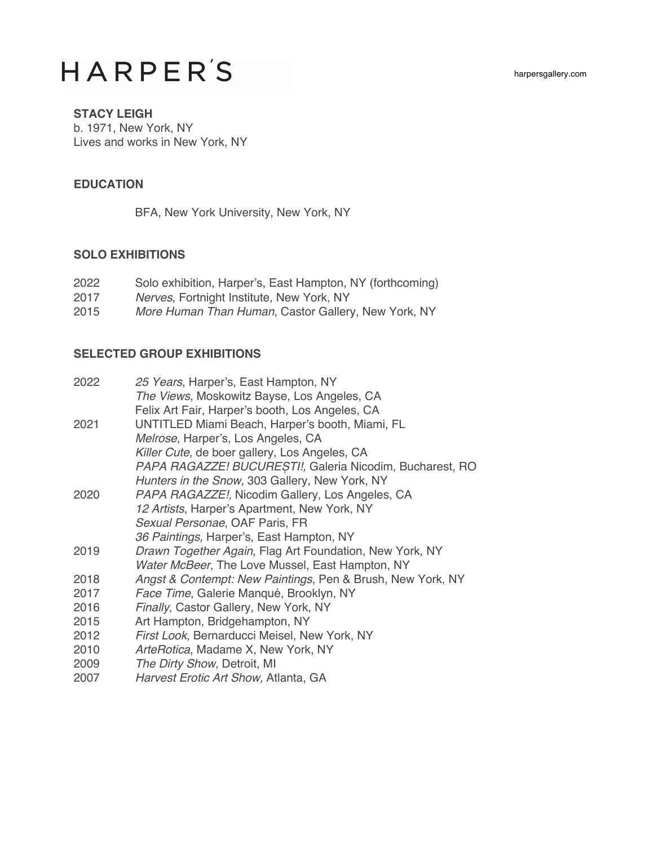# **HARPER'S**

#### **STACY LEIGH**

b. 1971, New York, NY Lives and works in New York, NY

### **EDUCATION**

BFA, New York University, New York, NY

### **SOLO EXHIBITIONS**

| 2022 | Solo exhibition, Harper's, East Hampton, NY (forthcoming) |
|------|-----------------------------------------------------------|
| 2017 | Nerves, Fortnight Institute, New York, NY                 |
| 2015 | More Human Than Human, Castor Gallery, New York, NY       |

## **SELECTED GROUP EXHIBITIONS**

| 2022 | 25 Years, Harper's, East Hampton, NY                       |
|------|------------------------------------------------------------|
|      | The Views, Moskowitz Bayse, Los Angeles, CA                |
|      | Felix Art Fair, Harper's booth, Los Angeles, CA            |
| 2021 | UNTITLED Miami Beach, Harper's booth, Miami, FL            |
|      | Melrose, Harper's, Los Angeles, CA                         |
|      | Killer Cute, de boer gallery, Los Angeles, CA              |
|      | PAPA RAGAZZE! BUCUREȘTI!, Galeria Nicodim, Bucharest, RO   |
|      | Hunters in the Snow, 303 Gallery, New York, NY             |
| 2020 | PAPA RAGAZZE!, Nicodim Gallery, Los Angeles, CA            |
|      | 12 Artists, Harper's Apartment, New York, NY               |
|      | Sexual Personae, OAF Paris, FR                             |
|      | 36 Paintings, Harper's, East Hampton, NY                   |
| 2019 | Drawn Together Again, Flag Art Foundation, New York, NY    |
|      | Water McBeer, The Love Mussel, East Hampton, NY            |
| 2018 | Angst & Contempt: New Paintings, Pen & Brush, New York, NY |
| 2017 | Face Time, Galerie Manqué, Brooklyn, NY                    |
| 2016 | Finally, Castor Gallery, New York, NY                      |
| 2015 | Art Hampton, Bridgehampton, NY                             |
| 2012 | First Look, Bernarducci Meisel, New York, NY               |
| 2010 | ArteRotica, Madame X, New York, NY                         |
| 2009 | The Dirty Show, Detroit, MI                                |
| 2007 | Harvest Erotic Art Show, Atlanta, GA                       |
|      |                                                            |